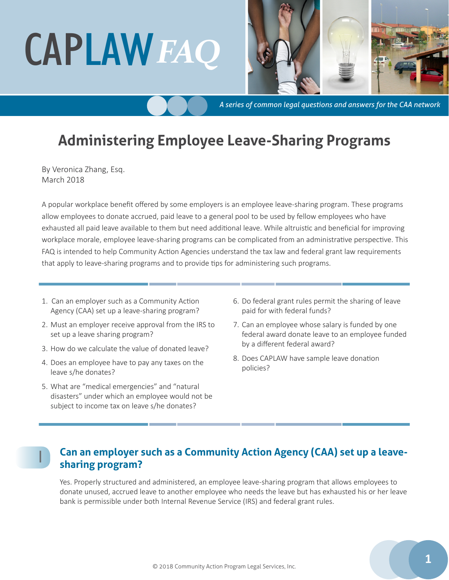# CAPLAW*FAQ*



*A series of common legal questions and answers for the CAA network*

# **Administering Employee Leave-Sharing Programs**

By Veronica Zhang, Esq. March 2018

A popular workplace benefit offered by some employers is an employee leave-sharing program. These programs allow employees to donate accrued, paid leave to a general pool to be used by fellow employees who have exhausted all paid leave available to them but need additional leave. While altruistic and beneficial for improving workplace morale, employee leave-sharing programs can be complicated from an administrative perspective. This FAQ is intended to help Community Action Agencies understand the tax law and federal grant law requirements that apply to leave-sharing programs and to provide tips for administering such programs.

- 1. Can an employer such as a Community Action Agency (CAA) set up a leave-sharing program?
- 2. Must an employer receive approval from the IRS to set up a leave sharing program?
- 3. How do we calculate the value of donated leave?
- 4. Does an employee have to pay any taxes on the leave s/he donates?
- 5. What are "medical emergencies" and "natural disasters" under which an employee would not be subject to income tax on leave s/he donates?

1

- 6. Do federal grant rules permit the sharing of leave paid for with federal funds?
- 7. Can an employee whose salary is funded by one federal award donate leave to an employee funded by a different federal award?
- 8. Does CAPLAW have sample leave donation policies?

### **Can an employer such as a Community Action Agency (CAA) set up a leavesharing program?**

Yes. Properly structured and administered, an employee leave-sharing program that allows employees to donate unused, accrued leave to another employee who needs the leave but has exhausted his or her leave bank is permissible under both Internal Revenue Service (IRS) and federal grant rules.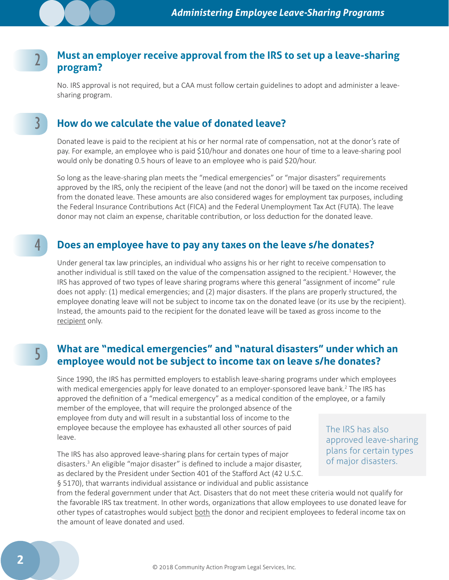#### **Must an employer receive approval from the IRS to set up a leave-sharing program?** 2

No. IRS approval is not required, but a CAA must follow certain guidelines to adopt and administer a leavesharing program.

#### **How do we calculate the value of donated leave?**

Donated leave is paid to the recipient at his or her normal rate of compensation, not at the donor's rate of pay. For example, an employee who is paid \$10/hour and donates one hour of time to a leave-sharing pool would only be donating 0.5 hours of leave to an employee who is paid \$20/hour.

So long as the leave-sharing plan meets the "medical emergencies" or "major disasters" requirements approved by the IRS, only the recipient of the leave (and not the donor) will be taxed on the income received from the donated leave. These amounts are also considered wages for employment tax purposes, including the Federal Insurance Contributions Act (FICA) and the Federal Unemployment Tax Act (FUTA). The leave donor may not claim an expense, charitable contribution, or loss deduction for the donated leave.

#### **Does an employee have to pay any taxes on the leave s/he donates?**

Under general tax law principles, an individual who assigns his or her right to receive compensation to another individual is still taxed on the value of the compensation assigned to the recipient.<sup>1</sup> However, the IRS has approved of two types of leave sharing programs where this general "assignment of income" rule does not apply: (1) medical emergencies; and (2) major disasters. If the plans are properly structured, the employee donating leave will not be subject to income tax on the donated leave (or its use by the recipient). Instead, the amounts paid to the recipient for the donated leave will be taxed as gross income to the recipient only.

# 5

4

3

#### **What are "medical emergencies" and "natural disasters" under which an employee would not be subject to income tax on leave s/he donates?**

Since 1990, the IRS has permitted employers to establish leave-sharing programs under which employees with medical emergencies apply for leave donated to an employer-sponsored leave bank.<sup>2</sup> The IRS has approved the definition of a "medical emergency" as a medical condition of the employee, or a family

member of the employee, that will require the prolonged absence of the employee from duty and will result in a substantial loss of income to the employee because the employee has exhausted all other sources of paid leave.

The IRS has also approved leave-sharing plans for certain types of major disasters.<sup>3</sup> An eligible "major disaster" is defined to include a major disaster, as declared by the President under Section 401 of the Stafford Act (42 U.S.C. § 5170), that warrants individual assistance or individual and public assistance The IRS has also approved leave-sharing plans for certain types of major disasters.

from the federal government under that Act. Disasters that do not meet these criteria would not qualify for the favorable IRS tax treatment. In other words, organizations that allow employees to use donated leave for other types of catastrophes would subject both the donor and recipient employees to federal income tax on the amount of leave donated and used.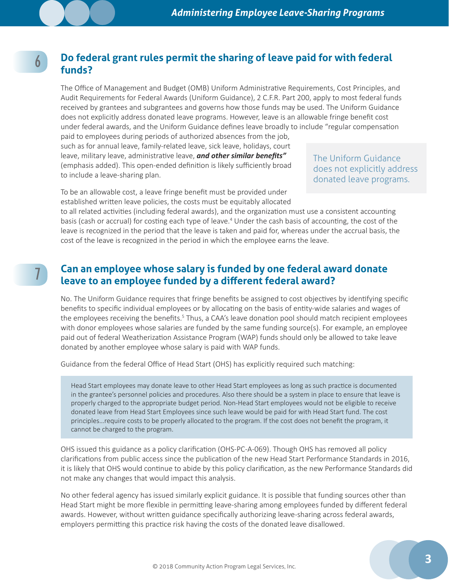#### **Do federal grant rules permit the sharing of leave paid for with federal funds?**

The Office of Management and Budget (OMB) Uniform Administrative Requirements, Cost Principles, and Audit Requirements for Federal Awards (Uniform Guidance), 2 C.F.R. Part 200, apply to most federal funds received by grantees and subgrantees and governs how those funds may be used. The Uniform Guidance does not explicitly address donated leave programs. However, leave is an allowable fringe benefit cost under federal awards, and the Uniform Guidance defines leave broadly to include "regular compensation

paid to employees during periods of authorized absences from the job, such as for annual leave, family-related leave, sick leave, holidays, court leave, military leave, administrative leave, *and other similar benefits"* (emphasis added). This open-ended definition is likely sufficiently broad to include a leave-sharing plan.

6

7

The Uniform Guidance does not explicitly address donated leave programs.

To be an allowable cost, a leave fringe benefit must be provided under established written leave policies, the costs must be equitably allocated

to all related activities (including federal awards), and the organization must use a consistent accounting basis (cash or accrual) for costing each type of leave.<sup>4</sup> Under the cash basis of accounting, the cost of the leave is recognized in the period that the leave is taken and paid for, whereas under the accrual basis, the cost of the leave is recognized in the period in which the employee earns the leave.

#### **Can an employee whose salary is funded by one federal award donate leave to an employee funded by a different federal award?**

No. The Uniform Guidance requires that fringe benefits be assigned to cost objectives by identifying specific benefits to specific individual employees or by allocating on the basis of entity-wide salaries and wages of the employees receiving the benefits.<sup>5</sup> Thus, a CAA's leave donation pool should match recipient employees with donor employees whose salaries are funded by the same funding source(s). For example, an employee paid out of federal Weatherization Assistance Program (WAP) funds should only be allowed to take leave donated by another employee whose salary is paid with WAP funds.

Guidance from the federal Office of Head Start (OHS) has explicitly required such matching:

Head Start employees may donate leave to other Head Start employees as long as such practice is documented in the grantee's personnel policies and procedures. Also there should be a system in place to ensure that leave is properly charged to the appropriate budget period. Non-Head Start employees would not be eligible to receive donated leave from Head Start Employees since such leave would be paid for with Head Start fund. The cost principles…require costs to be properly allocated to the program. If the cost does not benefit the program, it cannot be charged to the program.

OHS issued this guidance as a policy clarification (OHS-PC-A-069). Though OHS has removed all policy clarifications from public access since the publication of the new Head Start Performance Standards in 2016, it is likely that OHS would continue to abide by this policy clarification, as the new Performance Standards did not make any changes that would impact this analysis.

No other federal agency has issued similarly explicit guidance. It is possible that funding sources other than Head Start might be more flexible in permitting leave-sharing among employees funded by different federal awards. However, without written guidance specifically authorizing leave-sharing across federal awards, employers permitting this practice risk having the costs of the donated leave disallowed.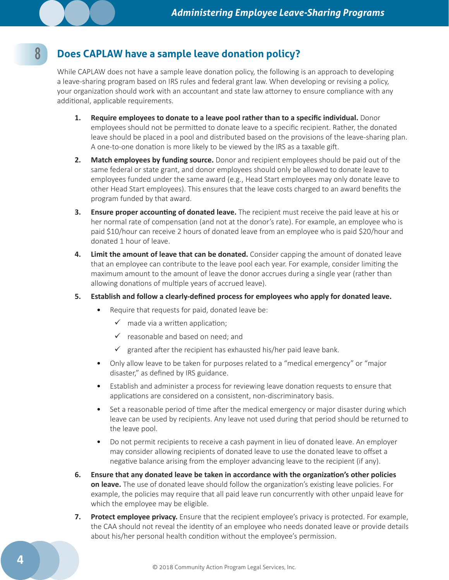## **Does CAPLAW have a sample leave donation policy?**

While CAPLAW does not have a sample leave donation policy, the following is an approach to developing a leave-sharing program based on IRS rules and federal grant law. When developing or revising a policy, your organization should work with an accountant and state law attorney to ensure compliance with any additional, applicable requirements.

- **1. Require employees to donate to a leave pool rather than to a specific individual.** Donor employees should not be permitted to donate leave to a specific recipient. Rather, the donated leave should be placed in a pool and distributed based on the provisions of the leave-sharing plan. A one-to-one donation is more likely to be viewed by the IRS as a taxable gift.
- **2. Match employees by funding source.** Donor and recipient employees should be paid out of the same federal or state grant, and donor employees should only be allowed to donate leave to employees funded under the same award (e.g., Head Start employees may only donate leave to other Head Start employees). This ensures that the leave costs charged to an award benefits the program funded by that award.
- **3. Ensure proper accounting of donated leave.** The recipient must receive the paid leave at his or her normal rate of compensation (and not at the donor's rate). For example, an employee who is paid \$10/hour can receive 2 hours of donated leave from an employee who is paid \$20/hour and donated 1 hour of leave.
- **4. Limit the amount of leave that can be donated.** Consider capping the amount of donated leave that an employee can contribute to the leave pool each year. For example, consider limiting the maximum amount to the amount of leave the donor accrues during a single year (rather than allowing donations of multiple years of accrued leave).

#### **5. Establish and follow a clearly-defined process for employees who apply for donated leave.**

- Require that requests for paid, donated leave be:
	- $\checkmark$  made via a written application;
	- $\checkmark$  reasonable and based on need; and
	- $\checkmark$  granted after the recipient has exhausted his/her paid leave bank.
- Only allow leave to be taken for purposes related to a "medical emergency" or "major disaster," as defined by IRS guidance.
- Establish and administer a process for reviewing leave donation requests to ensure that applications are considered on a consistent, non-discriminatory basis.
- Set a reasonable period of time after the medical emergency or major disaster during which leave can be used by recipients. Any leave not used during that period should be returned to the leave pool.
- Do not permit recipients to receive a cash payment in lieu of donated leave. An employer may consider allowing recipients of donated leave to use the donated leave to offset a negative balance arising from the employer advancing leave to the recipient (if any).
- **6. Ensure that any donated leave be taken in accordance with the organization's other policies on leave.** The use of donated leave should follow the organization's existing leave policies. For example, the policies may require that all paid leave run concurrently with other unpaid leave for which the employee may be eligible.
- **7. Protect employee privacy.** Ensure that the recipient employee's privacy is protected. For example, the CAA should not reveal the identity of an employee who needs donated leave or provide details about his/her personal health condition without the employee's permission.

8